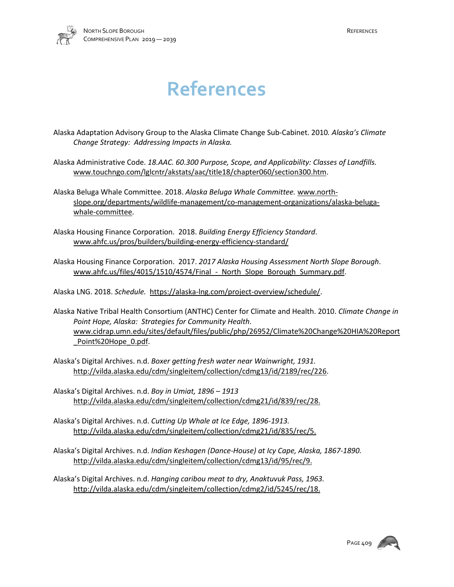

## **References**

Alaska Adaptation Advisory Group to the Alaska Climate Change Sub-Cabinet. 2010*. Alaska's Climate Change Strategy: Addressing Impacts in Alaska.*

Alaska Administrative Code. *18.AAC. 60.300 Purpose, Scope, and Applicability: Classes of Landfills.*  [www.touchngo.com/lglcntr/akstats/aac/title18/chapter060/section300.htm.](http://www.touchngo.com/lglcntr/akstats/aac/title18/chapter060/section300.htm)

Alaska Beluga Whale Committee. 2018. *Alaska Beluga Whale Committee.* [www.north](http://www.north-slope.org/departments/wildlife-management/co-management-organizations/alaska-beluga-whale-committee)[slope.org/departments/wildlife-management/co-management-organizations/alaska-beluga](http://www.north-slope.org/departments/wildlife-management/co-management-organizations/alaska-beluga-whale-committee)[whale-committee.](http://www.north-slope.org/departments/wildlife-management/co-management-organizations/alaska-beluga-whale-committee)

Alaska Housing Finance Corporation. 2018. *Building Energy Efficiency Standard*. www.ahfc.us/pros/builders/building-energy-efficiency-standard/

Alaska Housing Finance Corporation. 2017. *2017 Alaska Housing Assessment North Slope Borough*. www.ahfc.us/files/4015/1510/4574/Final - North Slope Borough Summary.pdf.

Alaska LNG. 2018. *Schedule.* [https://alaska-lng.com/project-overview/schedule/.](https://alaska-lng.com/project-overview/schedule/)

Alaska Native Tribal Health Consortium (ANTHC) Center for Climate and Health. 2010. *Climate Change in Point Hope, Alaska: Strategies for Community Health*. [www.cidrap.umn.edu/sites/default/files/public/php/26952/Climate%20Change%20HIA%20Report](http://www.cidrap.umn.edu/sites/default/files/public/php/26952/Climate%20Change%20HIA%20Report_Point%20Hope_0.pdf) Point%20Hope\_0.pdf.

Alaska's Digital Archives. n.d. *Boxer getting fresh water near Wainwright, 1931.*  [http://vilda.alaska.edu/cdm/singleitem/collection/cdmg13/id/2189/rec/226.](http://vilda.alaska.edu/cdm/singleitem/collection/cdmg13/id/2189/rec/226)

Alaska's Digital Archives. n.d. *Boy in Umiat, 1896 – 1913*  http://vilda.alaska.edu/cdm/singleitem/collection/cdmg21/id/839/rec/28.

Alaska's Digital Archives. n.d. *Cutting Up Whale at Ice Edge, 1896-1913.* [http://vilda.alaska.edu/cdm/singleitem/collection/cdmg21/id/835/rec/5.](http://vilda.alaska.edu/cdm/singleitem/collection/cdmg21/id/835/rec/5)

Alaska's Digital Archives. n.d. *Indian Keshagen (Dance-House) at Icy Cape, Alaska, 1867-1890.* [http://vilda.alaska.edu/cdm/singleitem/collection/cdmg13/id/95/rec/9.](http://vilda.alaska.edu/cdm/singleitem/collection/cdmg13/id/95/rec/9)

Alaska's Digital Archives. n.d. *Hanging caribou meat to dry, Anaktuvuk Pass, 1963.* http://vilda.alaska.edu/cdm/singleitem/collection/cdmg2/id/5245/rec/18.

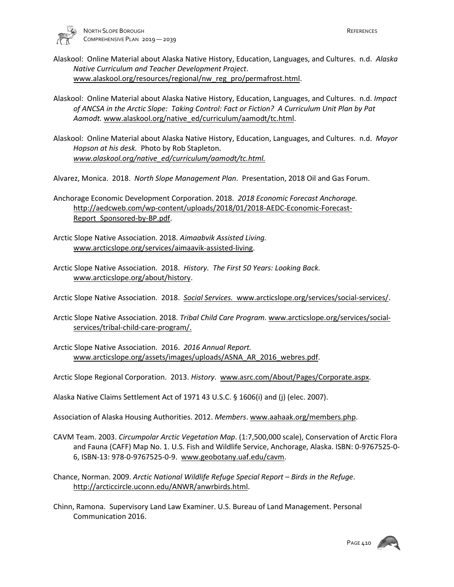

- Alaskool: Online Material about Alaska Native History, Education, Languages, and Cultures. n.d. *Alaska Native Curriculum and Teacher Development Project*. [www.alaskool.org/resources/regional/nw\\_reg\\_pro/permafrost.html.](http://www.alaskool.org/resources/regional/nw_reg_pro/permafrost.html)
- Alaskool: Online Material about Alaska Native History, Education, Languages, and Cultures. n.d. *Impact of ANCSA in the Arctic Slope: Taking Control: Fact or Fiction? A Curriculum Unit Plan by Pat*  Aamodt. [www.alaskool.org/native\\_ed/curriculum/aamodt/tc.html.](http://www.alaskool.org/native_ed/curriculum/aamodt/tc.html)
- Alaskool: Online Material about Alaska Native History, Education, Languages, and Cultures. n.d. *Mayor Hopson at his desk.* Photo by Rob Stapleton. *[www.alaskool.org/native\\_ed/curriculum/aamodt/tc.html.](http://www.alaskool.org/native_ed/curriculum/aamodt/tc.html)*

Alvarez, Monica. 2018. *North Slope Management Plan*. Presentation, 2018 Oil and Gas Forum.

- Anchorage Economic Development Corporation. 2018. *2018 Economic Forecast Anchorage.* [http://aedcweb.com/wp-content/uploads/2018/01/2018-AEDC-Economic-Forecast-](http://aedcweb.com/wp-content/uploads/2018/01/2018-AEDC-Economic-Forecast-Report_Sponsored-by-BP.pdf)[Report\\_Sponsored-by-BP.pdf.](http://aedcweb.com/wp-content/uploads/2018/01/2018-AEDC-Economic-Forecast-Report_Sponsored-by-BP.pdf)
- Arctic Slope Native Association. 2018. *Aimaabvik Assisted Living.* [www.arcticslope.org/services/aimaavik-assisted-living.](http://www.arcticslope.org/services/aimaavik-assisted-living)
- Arctic Slope Native Association. 2018. *History. The First 50 Years: Looking Back.*  [www.arcticslope.org/about/history.](http://www.arcticslope.org/about/history)

Arctic Slope Native Association. 2018. *Social Services.* www.arcticslope.org/services/social-services/.

- Arctic Slope Native Association. 2018. *Tribal Child Care Program.* [www.arcticslope.org/services/social](http://www.arcticslope.org/services/social-services/tribal-child-care-program/)[services/tribal-child-care-program/.](http://www.arcticslope.org/services/social-services/tribal-child-care-program/)
- Arctic Slope Native Association. 2016. *2016 Annual Report.*  www.arcticslope.org/assets/images/uploads/ASNA\_AR\_2016\_webres.pdf.
- Arctic Slope Regional Corporation. 2013. *History*. [www.asrc.com/About/Pages/Corporate.aspx.](http://www.asrc.com/About/Pages/Corporate.aspx)
- Alaska Native Claims Settlement Act of 1971 43 U.S.C. § 1606(i) and (j) (elec. 2007).
- Association of Alaska Housing Authorities. 2012. *Members*. [www.aahaak.org/members.php.](http://www.aahaak.org/members.php)
- CAVM Team. 2003. *Circumpolar Arctic Vegetation Map*. (1:7,500,000 scale), Conservation of Arctic Flora and Fauna (CAFF) Map No. 1. U.S. Fish and Wildlife Service, Anchorage, Alaska. ISBN: 0-9767525-0- 6, ISBN-13: 978-0-9767525-0-9. [www.geobotany.uaf.edu/cavm.](http://www.geobotany.uaf.edu/cavm)
- Chance, Norman. 2009. *Arctic National Wildlife Refuge Special Report Birds in the Refuge*. [http://arcticcircle.uconn.edu/ANWR/anwrbirds.html.](http://arcticcircle.uconn.edu/ANWR/anwrbirds.html)
- Chinn, Ramona. Supervisory Land Law Examiner. U.S. Bureau of Land Management. Personal Communication 2016.

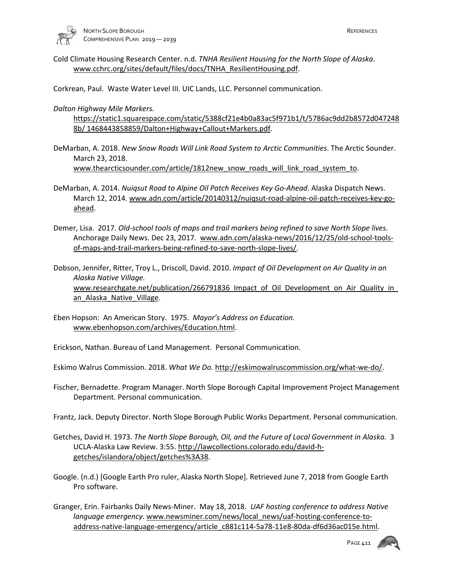

Cold Climate Housing Research Center. n.d. *TNHA Resilient Housing for the North Slope of Alaska*. www.cchrc.org/sites/default/files/docs/TNHA\_ResilientHousing.pdf.

Corkrean, Paul. Waste Water Level III. UIC Lands, LLC. Personnel communication.

*Dalton Highway Mile Markers.* 

https://static1.squarespace.com/static/5388cf21e4b0a83ac5f971b1/t/5786ac9dd2b8572d047248 8b/ 1468443858859/Dalton+Highway+Callout+Markers.pdf.

- DeMarban, A. 2018. *New Snow Roads Will Link Road System to Arctic Communities*. The Arctic Sounder. March 23, 2018. [www.thearcticsounder.com/article/1812new\\_snow\\_roads\\_will\\_link\\_road\\_system\\_to.](http://www.thearcticsounder.com/article/1812new_snow_roads_will_link_road_system_to)
- DeMarban, A. 2014. *Nuiqsut Road to Alpine Oil Patch Receives Key Go-Ahead*. Alaska Dispatch News. March 12, 2014. [www.adn.com/article/20140312/nuiqsut-road-alpine-oil-patch-receives-key-go](http://www.adn.com/article/20140312/nuiqsut-road-alpine-oil-patch-receives-key-go-ahead)[ahead.](http://www.adn.com/article/20140312/nuiqsut-road-alpine-oil-patch-receives-key-go-ahead)
- Demer, Lisa. 2017. *Old-school tools of maps and trail markers being refined to save North Slope lives.* Anchorage Daily News. Dec 23, 2017. [www.adn.com/alaska-news/2016/12/25/old-school-tools](http://www.adn.com/alaska-news/2016/12/25/old-school-tools-of-maps-and-trail-markers-being-refined-to-save-north-slope-lives/)[of-maps-and-trail-markers-being-refined-to-save-north-slope-lives/.](http://www.adn.com/alaska-news/2016/12/25/old-school-tools-of-maps-and-trail-markers-being-refined-to-save-north-slope-lives/)

Dobson, Jennifer, Ritter, Troy L., Driscoll, David. 2010. *Impact of Oil Development on Air Quality in an Alaska Native Village.* www.researchgate.net/publication/266791836 Impact of Oil Development on Air Quality in an Alaska Native Village.

Eben Hopson: An American Story. 1975. *Mayor's Address on Education.* [www.ebenhopson.com/archives/Education.html.](http://www.ebenhopson.com/archives/Education.html)

Erickson, Nathan. Bureau of Land Management. Personal Communication.

Eskimo Walrus Commission. 2018. *What We Do.* [http://eskimowalruscommission.org/what-we-do/.](http://eskimowalruscommission.org/what-we-do/)

Fischer, Bernadette. Program Manager. North Slope Borough Capital Improvement Project Management Department. Personal communication.

Frantz, Jack. Deputy Director. North Slope Borough Public Works Department. Personal communication.

- Getches, David H. 1973. *The North Slope Borough, Oil, and the Future of Local Government in Alaska.* 3 UCLA-Alaska Law Review. 3:55. [http://lawcollections.colorado.edu/david-h](http://lawcollections.colorado.edu/david-h-getches/islandora/object/getches%3A38)[getches/islandora/object/getches%3A38.](http://lawcollections.colorado.edu/david-h-getches/islandora/object/getches%3A38)
- Google. (n.d.) [Google Earth Pro ruler, Alaska North Slope]. Retrieved June 7, 2018 from Google Earth Pro software.
- Granger, Erin. Fairbanks Daily News-Miner. May 18, 2018. *UAF hosting conference to address Native language emergency*[. www.newsminer.com/news/local\\_news/uaf-hosting-conference-to](http://www.newsminer.com/news/local_news/uaf-hosting-conference-to-address-native-language-emergency/article_c881c114-5a78-11e8-80da-df6d36ac015e.html)[address-native-language-emergency/article\\_c881c114-5a78-11e8-80da-df6d36ac015e.html.](http://www.newsminer.com/news/local_news/uaf-hosting-conference-to-address-native-language-emergency/article_c881c114-5a78-11e8-80da-df6d36ac015e.html)

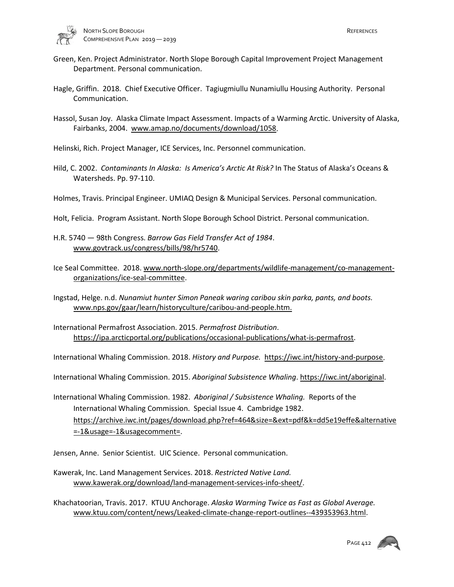

- Green, Ken. Project Administrator. North Slope Borough Capital Improvement Project Management Department. Personal communication.
- Hagle, Griffin. 2018. Chief Executive Officer. Tagiugmiullu Nunamiullu Housing Authority. Personal Communication.
- Hassol, Susan Joy. Alaska Climate Impact Assessment. Impacts of a Warming Arctic. University of Alaska, Fairbanks, 2004. [www.amap.no/documents/download/1058.](http://www.amap.no/documents/download/1058)

Helinski, Rich. Project Manager, ICE Services, Inc. Personnel communication.

- Hild, C. 2002. *Contaminants In Alaska: Is America's Arctic At Risk?* In The Status of Alaska's Oceans & Watersheds. Pp. 97-110.
- Holmes, Travis. Principal Engineer. UMIAQ Design & Municipal Services. Personal communication.
- Holt, Felicia. Program Assistant. North Slope Borough School District. Personal communication.
- H.R. 5740 98th Congress. *Barrow Gas Field Transfer Act of 1984*. [www.govtrack.us/congress/bills/98/hr5740.](http://www.govtrack.us/congress/bills/98/hr5740)
- Ice Seal Committee. 2018[. www.north-slope.org/departments/wildlife-management/co-management](http://www.north-slope.org/departments/wildlife-management/co-management-organizations/ice-seal-committee)[organizations/ice-seal-committee.](http://www.north-slope.org/departments/wildlife-management/co-management-organizations/ice-seal-committee)
- Ingstad, Helge. n.d. *Nunamiut hunter Simon Paneak waring caribou skin parka, pants, and boots.*  www.nps.gov/gaar/learn/historyculture/caribou-and-people.htm.
- International Permafrost Association. 2015. *Permafrost Distribution*. [https://ipa.arcticportal.org/publications/occasional-publications/what-is-permafrost.](https://ipa.arcticportal.org/publications/occasional-publications/what-is-permafrost)

International Whaling Commission. 2018. *History and Purpose.* [https://iwc.int/history-and-purpose.](https://iwc.int/history-and-purpose)

International Whaling Commission. 2015. *Aboriginal Subsistence Whaling*. [https://iwc.int/aboriginal.](https://iwc.int/aboriginal)

International Whaling Commission. 1982. *Aboriginal / Subsistence Whaling.* Reports of the International Whaling Commission. Special Issue 4. Cambridge 1982. [https://archive.iwc.int/pages/download.php?ref=464&size=&ext=pdf&k=dd5e19effe&alternative](https://archive.iwc.int/pages/download.php?ref=464&size=&ext=pdf&k=dd5e19effe&alternative=-1&usage=-1&usagecomment) [=-1&usage=-1&usagecomment=](https://archive.iwc.int/pages/download.php?ref=464&size=&ext=pdf&k=dd5e19effe&alternative=-1&usage=-1&usagecomment).

Jensen, Anne. Senior Scientist. UIC Science. Personal communication.

Kawerak, Inc. Land Management Services. 2018. *Restricted Native Land.*  [www.kawerak.org/download/land-management-services-info-sheet/.](http://www.kawerak.org/download/land-management-services-info-sheet/)

Khachatoorian, Travis. 2017. KTUU Anchorage. *Alaska Warming Twice as Fast as Global Average.* [www.ktuu.com/content/news/Leaked-climate-change-report-outlines--439353963.html.](http://www.ktuu.com/content/news/Leaked-climate-change-report-outlines--439353963.html)

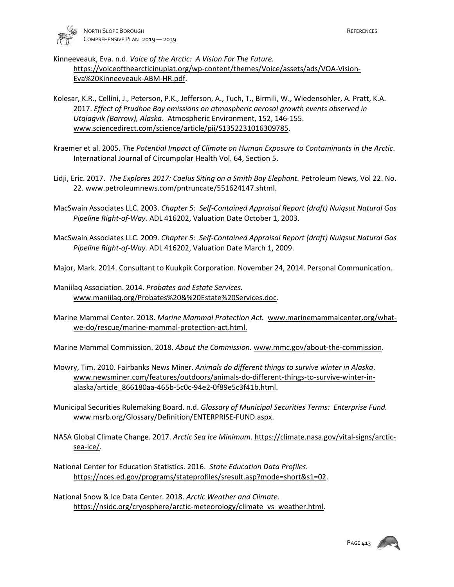

Kinneeveauk, Eva. n.d. *Voice of the Arctic: A Vision For The Future.*

[https://voiceofthearcticinupiat.org/wp-content/themes/Voice/assets/ads/VOA-Vision-](https://voiceofthearcticinupiat.org/wp-content/themes/Voice/assets/ads/VOA-Vision-Eva%20Kinneeveauk-ABM-HR.pdf)[Eva%20Kinneeveauk-ABM-HR.pdf.](https://voiceofthearcticinupiat.org/wp-content/themes/Voice/assets/ads/VOA-Vision-Eva%20Kinneeveauk-ABM-HR.pdf)

- Kolesar, K.R., Cellini, J., Peterson, P.K., Jefferson, A., Tuch, T., Birmili, W., Wiedensohler, A. Pratt, K.A. 2017. *Effect of Prudhoe Bay emissions on atmospheric aerosol growth events observed in Utqiaġvik (Barrow), Alaska*. Atmospheric Environment, 152, 146-155. [www.sciencedirect.com/science/article/pii/S1352231016309785.](http://www.sciencedirect.com/science/article/pii/S1352231016309785)
- Kraemer et al. 2005. *The Potential Impact of Climate on Human Exposure to Contaminants in the Arctic*. International Journal of Circumpolar Health Vol. 64, Section 5.
- Lidji, Eric. 2017. *The Explores 2017: Caelus Siting on a Smith Bay Elephant.* Petroleum News, Vol 22. No. 22[. www.petroleumnews.com/pntruncate/551624147.shtml.](http://www.petroleumnews.com/pntruncate/551624147.shtml)
- MacSwain Associates LLC. 2003. *Chapter 5: Self-Contained Appraisal Report (draft) Nuiqsut Natural Gas Pipeline Right-of-Way.* ADL 416202, Valuation Date October 1, 2003.
- MacSwain Associates LLC. 2009. *Chapter 5: Self-Contained Appraisal Report (draft) Nuiqsut Natural Gas Pipeline Right-of-Way.* ADL 416202, Valuation Date March 1, 2009.
- Major, Mark. 2014. Consultant to Kuukpik Corporation. November 24, 2014. Personal Communication.
- Maniilaq Association. 2014. *Probates and Estate Services.*  [www.maniilaq.org/Probates%20&%20Estate%20Services.doc.](http://www.maniilaq.org/Probates%20&%20Estate%20Services.doc)
- Marine Mammal Center. 2018. *Marine Mammal Protection Act.* [www.marinemammalcenter.org/what](http://www.marinemammalcenter.org/what-we-do/rescue/marine-mammal-protection-act.html)[we-do/rescue/marine-mammal-protection-act.html.](http://www.marinemammalcenter.org/what-we-do/rescue/marine-mammal-protection-act.html)

Marine Mammal Commission. 2018. *About the Commission.* [www.mmc.gov/about-the-commission.](http://www.mmc.gov/about-the-commission)

- Mowry, Tim. 2010. Fairbanks News Miner. *Animals do different things to survive winter in Alaska*. [www.newsminer.com/features/outdoors/animals-do-different-things-to-survive-winter-in](http://www.newsminer.com/features/outdoors/animals-do-different-things-to-survive-winter-in-alaska/article_866180aa-465b-5c0c-94e2-0f89e5c3f41b.html)[alaska/article\\_866180aa-465b-5c0c-94e2-0f89e5c3f41b.html.](http://www.newsminer.com/features/outdoors/animals-do-different-things-to-survive-winter-in-alaska/article_866180aa-465b-5c0c-94e2-0f89e5c3f41b.html)
- Municipal Securities Rulemaking Board. n.d. *Glossary of Municipal Securities Terms: Enterprise Fund.*  [www.msrb.org/Glossary/Definition/ENTERPRISE-FUND.aspx.](http://www.msrb.org/Glossary/Definition/ENTERPRISE-FUND.aspx)
- NASA Global Climate Change. 2017. *Arctic Sea Ice Minimum.* [https://climate.nasa.gov/vital-signs/arctic](https://climate.nasa.gov/vital-signs/arctic-sea-ice/)[sea-ice/.](https://climate.nasa.gov/vital-signs/arctic-sea-ice/)
- National Center for Education Statistics. 2016. *State Education Data Profiles.*  [https://nces.ed.gov/programs/stateprofiles/sresult.asp?mode=short&s1=02.](https://nces.ed.gov/programs/stateprofiles/sresult.asp?mode=short&s1=02)

National Snow & Ice Data Center. 2018. *Arctic Weather and Climate*. [https://nsidc.org/cryosphere/arctic-meteorology/climate\\_vs\\_weather.html.](https://nsidc.org/cryosphere/arctic-meteorology/climate_vs_weather.html)

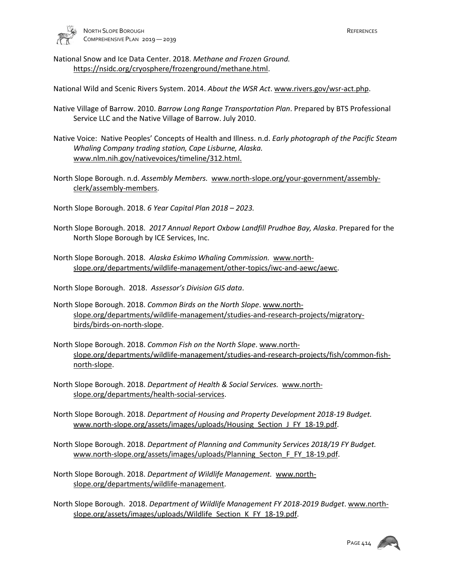

National Snow and Ice Data Center. 2018. *Methane and Frozen Ground.*  [https://nsidc.org/cryosphere/frozenground/methane.html.](https://nsidc.org/cryosphere/frozenground/methane.html)

National Wild and Scenic Rivers System. 2014. *About the WSR Act*. [www.rivers.gov/wsr-act.php.](http://www.rivers.gov/wsr-act.php)

Native Village of Barrow. 2010. *Barrow Long Range Transportation Plan*. Prepared by BTS Professional Service LLC and the Native Village of Barrow. July 2010.

Native Voice: Native Peoples' Concepts of Health and Illness. n.d. *Early photograph of the Pacific Steam Whaling Company trading station, Cape Lisburne, Alaska.*  [www.nlm.nih.gov/nativevoices/timeline/312.html.](http://www.nlm.nih.gov/nativevoices/timeline/312.html)

North Slope Borough. n.d. *Assembly Members.* [www.north-slope.org/your-government/assembly](http://www.north-slope.org/your-government/assembly-clerk/assembly-members)[clerk/assembly-members.](http://www.north-slope.org/your-government/assembly-clerk/assembly-members)

North Slope Borough. 2018. *6 Year Capital Plan 2018 – 2023.*

North Slope Borough. 2018. *2017 Annual Report Oxbow Landfill Prudhoe Bay, Alaska*. Prepared for the North Slope Borough by ICE Services, Inc.

North Slope Borough. 2018. *Alaska Eskimo Whaling Commission.* [www.north](http://www.north-slope.org/departments/wildlife-management/other-topics/iwc-and-aewc/aewc)[slope.org/departments/wildlife-management/other-topics/iwc-and-aewc/aewc.](http://www.north-slope.org/departments/wildlife-management/other-topics/iwc-and-aewc/aewc)

North Slope Borough. 2018. *Assessor's Division GIS data*.

- North Slope Borough. 2018. *Common Birds on the North Slope*[. www.north](http://www.north-slope.org/departments/wildlife-management/studies-and-research-projects/migratory-birds/birds-on-north-slope)[slope.org/departments/wildlife-management/studies-and-research-projects/migratory](http://www.north-slope.org/departments/wildlife-management/studies-and-research-projects/migratory-birds/birds-on-north-slope)[birds/birds-on-north-slope.](http://www.north-slope.org/departments/wildlife-management/studies-and-research-projects/migratory-birds/birds-on-north-slope)
- North Slope Borough. 2018. *Common Fish on the North Slope*. [www.north](http://www.north-slope.org/departments/wildlife-management/studies-and-research-projects/fish/common-fish-north-slope)[slope.org/departments/wildlife-management/studies-and-research-projects/fish/common-fish](http://www.north-slope.org/departments/wildlife-management/studies-and-research-projects/fish/common-fish-north-slope)[north-slope.](http://www.north-slope.org/departments/wildlife-management/studies-and-research-projects/fish/common-fish-north-slope)
- North Slope Borough. 2018. *Department of Health & Social Services.* [www.north](http://www.north-slope.org/departments/health-social-services)[slope.org/departments/health-social-services.](http://www.north-slope.org/departments/health-social-services)
- North Slope Borough. 2018. *Department of Housing and Property Development 2018-19 Budget.*  www.north-slope.org/assets/images/uploads/Housing\_Section\_J\_FY\_18-19.pdf.
- North Slope Borough. 2018. *Department of Planning and Community Services 2018/19 FY Budget.* [www.north-slope.org/assets/images/uploads/Planning\\_Secton\\_F\\_FY\\_18-19.pdf.](http://www.north-slope.org/assets/images/uploads/Planning_Secton_F_FY_18-19.pdf)
- North Slope Borough. 2018. *Department of Wildlife Management.* [www.north](http://www.north-slope.org/departments/wildlife-management)[slope.org/departments/wildlife-management.](http://www.north-slope.org/departments/wildlife-management)

North Slope Borough. 2018. *Department of Wildlife Management FY 2018-2019 Budget*[. www.north](http://www.north-slope.org/assets/images/uploads/Wildlife_Section_K_FY_18-19.pdf)[slope.org/assets/images/uploads/Wildlife\\_Section\\_K\\_FY\\_18-19.pdf.](http://www.north-slope.org/assets/images/uploads/Wildlife_Section_K_FY_18-19.pdf)

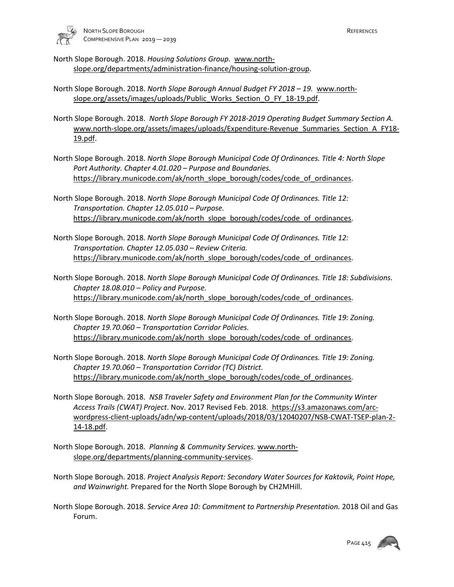

- North Slope Borough. 2018. *Housing Solutions Group.* [www.north](http://www.north-slope.org/departments/administration-finance/housing-solution-group)[slope.org/departments/administration-finance/housing-solution-group.](http://www.north-slope.org/departments/administration-finance/housing-solution-group)
- North Slope Borough. 2018. *North Slope Borough Annual Budget FY 2018 19.* [www.north](http://www.north-slope.org/assets/images/uploads/Public_Works_Section_O_FY_18-19.pdf)[slope.org/assets/images/uploads/Public\\_Works\\_Section\\_O\\_FY\\_18-19.pdf.](http://www.north-slope.org/assets/images/uploads/Public_Works_Section_O_FY_18-19.pdf)
- North Slope Borough. 2018. *North Slope Borough FY 2018-2019 Operating Budget Summary Section A.*  [www.north-slope.org/assets/images/uploads/Expenditure-Revenue\\_Summaries\\_Section\\_A\\_FY18-](http://www.north-slope.org/assets/images/uploads/Expenditure-Revenue_Summaries_Section_A_FY18-19.pdf) [19.pdf.](http://www.north-slope.org/assets/images/uploads/Expenditure-Revenue_Summaries_Section_A_FY18-19.pdf)
- North Slope Borough. 2018. *North Slope Borough Municipal Code Of Ordinances. Title 4: North Slope Port Authority. Chapter 4.01.020 – Purpose and Boundaries.*  [https://library.municode.com/ak/north\\_slope\\_borough/codes/code\\_of\\_ordinances.](https://library.municode.com/ak/north_slope_borough/codes/code_of_ordinances)
- North Slope Borough. 2018. *North Slope Borough Municipal Code Of Ordinances. Title 12: Transportation. Chapter 12.05.010 – Purpose.*  [https://library.municode.com/ak/north\\_slope\\_borough/codes/code\\_of\\_ordinances.](https://library.municode.com/ak/north_slope_borough/codes/code_of_ordinances)
- North Slope Borough. 2018. *North Slope Borough Municipal Code Of Ordinances. Title 12: Transportation. Chapter 12.05.030 – Review Criteria.*  https://library.municode.com/ak/north\_slope\_borough/codes/code\_of\_ordinances.
- North Slope Borough. 2018. *North Slope Borough Municipal Code Of Ordinances. Title 18: Subdivisions. Chapter 18.08.010 – Policy and Purpose.*  https://library.municode.com/ak/north\_slope\_borough/codes/code\_of\_ordinances.
- North Slope Borough. 2018. *North Slope Borough Municipal Code Of Ordinances. Title 19: Zoning. Chapter 19.70.060 – Transportation Corridor Policies.*  [https://library.municode.com/ak/north\\_slope\\_borough/codes/code\\_of\\_ordinances.](https://library.municode.com/ak/north_slope_borough/codes/code_of_ordinances)
- North Slope Borough. 2018. *North Slope Borough Municipal Code Of Ordinances. Title 19: Zoning. Chapter 19.70.060 – Transportation Corridor (TC) District.*  https://library.municode.com/ak/north\_slope\_borough/codes/code\_of\_ordinances.
- North Slope Borough. 2018. *NSB Traveler Safety and Environment Plan for the Community Winter Access Trails (CWAT) Project*. Nov. 2017 Revised Feb. 2018. https://s3.amazonaws.com/arcwordpress-client-uploads/adn/wp-content/uploads/2018/03/12040207/NSB-CWAT-TSEP-plan-2- 14-18.pdf.
- North Slope Borough. 2018. *Planning & Community Services.* [www.north](http://www.north-slope.org/departments/planning-community-services)[slope.org/departments/planning-community-services.](http://www.north-slope.org/departments/planning-community-services)
- North Slope Borough. 2018. *Project Analysis Report: Secondary Water Sources for Kaktovik, Point Hope, and Wainwright.* Prepared for the North Slope Borough by CH2MHill.
- North Slope Borough. 2018. *Service Area 10: Commitment to Partnership Presentation.* 2018 Oil and Gas Forum.

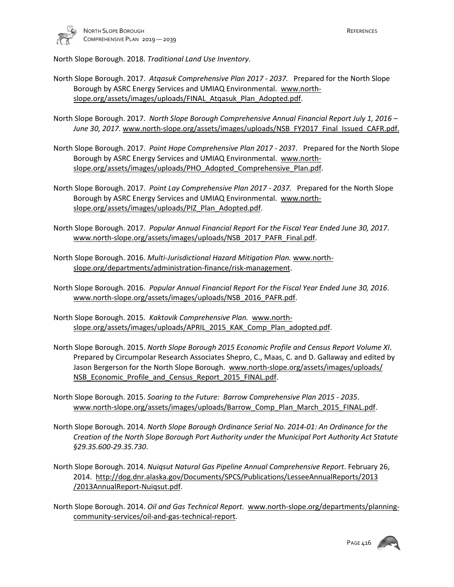

North Slope Borough. 2018. *Traditional Land Use Inventory*.

- North Slope Borough. 2017. *Atqasuk Comprehensive Plan 2017 2037.* Prepared for the North Slope Borough by ASRC Energy Services and UMIAQ Environmental. [www.north](http://www.north-slope.org/assets/images/uploads/FINAL_Atqasuk_Plan_Adopted.pdf)[slope.org/assets/images/uploads/FINAL\\_Atqasuk\\_Plan\\_Adopted.pdf.](http://www.north-slope.org/assets/images/uploads/FINAL_Atqasuk_Plan_Adopted.pdf)
- North Slope Borough. 2017. *North Slope Borough Comprehensive Annual Financial Report July 1, 2016*  June 30, 2017. [www.north-slope.org/assets/images/uploads/NSB\\_FY2017\\_Final\\_Issued\\_CAFR.pdf.](http://www.north-slope.org/assets/images/uploads/NSB_FY2017_Final_Issued_CAFR.pdf)
- North Slope Borough. 2017. *Point Hope Comprehensive Plan 2017 203*7. Prepared for the North Slope Borough by ASRC Energy Services and UMIAQ Environmental. [www.north](http://www.north-slope.org/assets/images/uploads/PHO_Adopted_Comprehensive_Plan.pdf)[slope.org/assets/images/uploads/PHO\\_Adopted\\_Comprehensive\\_Plan.pdf.](http://www.north-slope.org/assets/images/uploads/PHO_Adopted_Comprehensive_Plan.pdf)
- North Slope Borough. 2017. *Point Lay Comprehensive Plan 2017 2037.* Prepared for the North Slope Borough by ASRC Energy Services and UMIAQ Environmental. www.northslope.org/assets/images/uploads/PIZ\_Plan\_Adopted.pdf.
- North Slope Borough. 2017. *Popular Annual Financial Report For the Fiscal Year Ended June 30, 2017*. [www.north-slope.org/assets/images/uploads/NSB\\_2017\\_PAFR\\_Final.pdf.](http://www.north-slope.org/assets/images/uploads/NSB_2017_PAFR_Final.pdf)
- North Slope Borough. 2016. *Multi-Jurisdictional Hazard Mitigation Plan.* [www.north](http://www.north-slope.org/departments/administration-finance/risk-management)[slope.org/departments/administration-finance/risk-management.](http://www.north-slope.org/departments/administration-finance/risk-management)
- North Slope Borough. 2016. *Popular Annual Financial Report For the Fiscal Year Ended June 30, 2016*. [www.north-slope.org/assets/images/uploads/NSB\\_2016\\_PAFR.pdf.](http://www.north-slope.org/assets/images/uploads/NSB_2016_PAFR.pdf)
- North Slope Borough. 2015. *Kaktovik Comprehensive Plan.* [www.north](http://www.north-slope.org/assets/images/uploads/APRIL_2015_KAK_Comp_Plan_adopted.pdf)[slope.org/assets/images/uploads/APRIL\\_2015\\_KAK\\_Comp\\_Plan\\_adopted.pdf.](http://www.north-slope.org/assets/images/uploads/APRIL_2015_KAK_Comp_Plan_adopted.pdf)
- North Slope Borough. 2015. *North Slope Borough 2015 Economic Profile and Census Report Volume XI*. Prepared by Circumpolar Research Associates Shepro, C., Maas, C. and D. Gallaway and edited by Jason Bergerson for the North Slope Borough. www.north-slope.org/assets/images/uploads/ NSB Economic Profile and Census Report 2015 FINAL.pdf.
- North Slope Borough. 2015. *Soaring to the Future: Barrow Comprehensive Plan 2015 2035*. www.north-slope.org/assets/images/uploads/Barrow\_Comp\_Plan\_March\_2015\_FINAL.pdf.
- North Slope Borough. 2014. *North Slope Borough Ordinance Serial No. 2014-01: An Ordinance for the Creation of the North Slope Borough Port Authority under the Municipal Port Authority Act Statute §29.35.600-29.35.730*.
- North Slope Borough. 2014. *Nuiqsut Natural Gas Pipeline Annual Comprehensive Report*. February 26, 2014. [http://dog.dnr.alaska.gov/Documents/SPCS/Publications/LesseeAnnualReports/2013](http://dog.dnr.alaska.gov/Documents/SPCS/Publications/LesseeAnnualReports/2013%20/2013AnnualReport-Nuiqsut.pdf)  [/2013AnnualReport-Nuiqsut.pdf.](http://dog.dnr.alaska.gov/Documents/SPCS/Publications/LesseeAnnualReports/2013%20/2013AnnualReport-Nuiqsut.pdf)
- North Slope Borough. 2014. *Oil and Gas Technical Report.* [www.north-slope.org/departments/planning](http://www.north-slope.org/departments/planning-community-services/oil-and-gas-technical-report)[community-services/oil-and-gas-technical-report.](http://www.north-slope.org/departments/planning-community-services/oil-and-gas-technical-report)

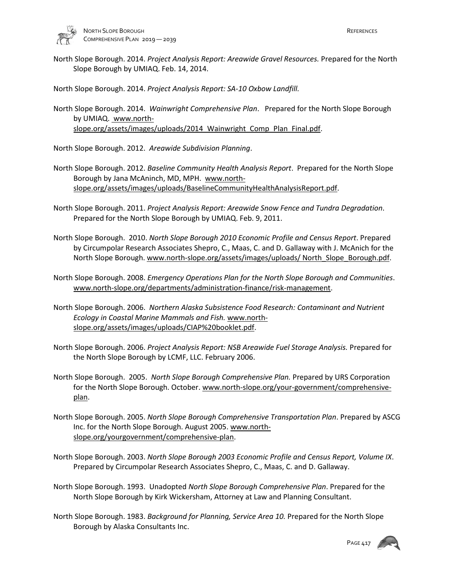

North Slope Borough. 2014. *Project Analysis Report: Areawide Gravel Resources.* Prepared for the North Slope Borough by UMIAQ. Feb. 14, 2014.

North Slope Borough. 2014. *Project Analysis Report: SA-10 Oxbow Landfill.*

North Slope Borough. 2014. *Wainwright Comprehensive Plan*. Prepared for the North Slope Borough by UMIAQ. www.northslope.org/assets/images/uploads/2014 Wainwright Comp Plan Final.pdf.

North Slope Borough. 2012. *Areawide Subdivision Planning*.

- North Slope Borough. 2012. *Baseline Community Health Analysis Report*. Prepared for the North Slope Borough by Jana McAninch, MD, MPH. [www.north](http://www.north-slope.org/assets/images/uploads/BaselineCommunityHealthAnalysisReport.pdf)[slope.org/assets/images/uploads/BaselineCommunityHealthAnalysisReport.pdf.](http://www.north-slope.org/assets/images/uploads/BaselineCommunityHealthAnalysisReport.pdf)
- North Slope Borough. 2011. *Project Analysis Report: Areawide Snow Fence and Tundra Degradation*. Prepared for the North Slope Borough by UMIAQ. Feb. 9, 2011.
- North Slope Borough. 2010. *North Slope Borough 2010 Economic Profile and Census Report*. Prepared by Circumpolar Research Associates Shepro, C., Maas, C. and D. Gallaway with J. McAnich for the North Slope Borough. www.north-slope.org/assets/images/uploads/ North Slope Borough.pdf.
- North Slope Borough. 2008. *Emergency Operations Plan for the North Slope Borough and Communities*. www.north-slope.org/departments/administration-finance/risk-management.
- North Slope Borough. 2006. *Northern Alaska Subsistence Food Research: Contaminant and Nutrient Ecology in Coastal Marine Mammals and Fish.* [www.north](http://www.north-slope.org/assets/images/uploads/CIAP%20booklet.pdf)[slope.org/assets/images/uploads/CIAP%20booklet.pdf.](http://www.north-slope.org/assets/images/uploads/CIAP%20booklet.pdf)
- North Slope Borough. 2006. *Project Analysis Report: NSB Areawide Fuel Storage Analysis.* Prepared for the North Slope Borough by LCMF, LLC. February 2006.
- North Slope Borough. 2005. *North Slope Borough Comprehensive Plan.* Prepared by URS Corporation for the North Slope Borough. October. [www.north-slope.org/your-government/comprehensive](http://www.north-slope.org/your-government/comprehensive-plan)[plan.](http://www.north-slope.org/your-government/comprehensive-plan)
- North Slope Borough. 2005. *North Slope Borough Comprehensive Transportation Plan*. Prepared by ASCG Inc. for the North Slope Borough. August 2005[. www.north](http://www.north%E2%80%90slope.org/yourgovernment/comprehensive%E2%80%90plan)[slope.org/yourgovernment/comprehensive-plan.](http://www.north%E2%80%90slope.org/yourgovernment/comprehensive%E2%80%90plan)
- North Slope Borough. 2003. *North Slope Borough 2003 Economic Profile and Census Report, Volume IX*. Prepared by Circumpolar Research Associates Shepro, C., Maas, C. and D. Gallaway.
- North Slope Borough. 1993. Unadopted *North Slope Borough Comprehensive Plan*. Prepared for the North Slope Borough by Kirk Wickersham, Attorney at Law and Planning Consultant.
- North Slope Borough. 1983. *Background for Planning, Service Area 10.* Prepared for the North Slope Borough by Alaska Consultants Inc.

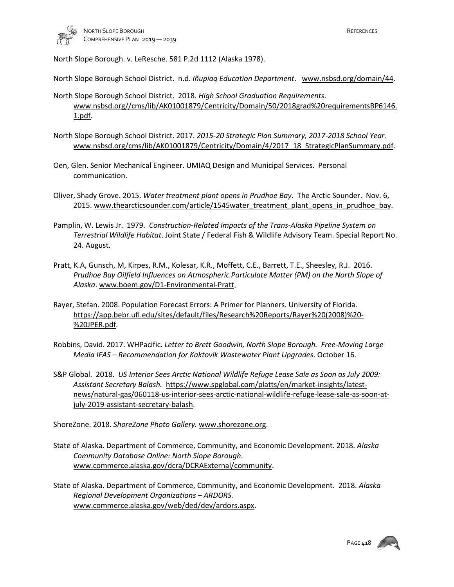

North Slope Borough. v. LeResche. 581 P.2d 1112 (Alaska 1978).

North Slope Borough School District. n.d. *Iñupiaq Education Department*. www.nsbsd.org/domain/44.

- North Slope Borough School District. 2018. *High School Graduation Requirements*. [www.nsbsd.org//cms/lib/AK01001879/Centricity/Domain/50/2018grad%20requirementsBP6146.](http://www.nsbsd.org/cms/lib/AK01001879/Centricity/Domain/50/2018grad%20requirementsBP6146.1.pdf) [1.pdf.](http://www.nsbsd.org/cms/lib/AK01001879/Centricity/Domain/50/2018grad%20requirementsBP6146.1.pdf)
- North Slope Borough School District. 2017. *2015-20 Strategic Plan Summary, 2017-2018 School Year.*  www.nsbsd.org/cms/lib/AK01001879/Centricity/Domain/4/2017\_18\_StrategicPlanSummary.pdf.
- Oen, Glen. Senior Mechanical Engineer. UMIAQ Design and Municipal Services. Personal communication.
- Oliver, Shady Grove. 2015. *Water treatment plant opens in Prudhoe Bay*. The Arctic Sounder. Nov. 6, 2015[. www.thearcticsounder.com/article/1545water\\_treatment\\_plant\\_opens\\_in\\_prudhoe\\_bay.](http://www.thearcticsounder.com/article/1545water_treatment_plant_opens_in_prudhoe_bay)
- Pamplin, W. Lewis Jr. 1979. *Construction-Related Impacts of the Trans-Alaska Pipeline System on Terrestrial Wildlife Habitat*. Joint State / Federal Fish & Wildlife Advisory Team. Special Report No. 24. August.
- Pratt, K.A, Gunsch, M, Kirpes, R.M., Kolesar, K.R., Moffett, C.E., Barrett, T.E., Sheesley, R.J. 2016. *Prudhoe Bay Oilfield Influences on Atmospheric Particulate Matter (PM) on the North Slope of Alaska*[. www.boem.gov/D1-Environmental-Pratt.](http://www.boem.gov/D1-Environmental-Pratt)
- Rayer, Stefan. 2008. Population Forecast Errors: A Primer for Planners. University of Florida. [https://app.bebr.ufl.edu/sites/default/files/Research%20Reports/Rayer%20\(2008\)%20-](https://app.bebr.ufl.edu/sites/default/files/Research%20Reports/Rayer%20(2008)%20-%20JPER.pdf) [%20JPER.pdf.](https://app.bebr.ufl.edu/sites/default/files/Research%20Reports/Rayer%20(2008)%20-%20JPER.pdf)
- Robbins, David. 2017. WHPacific. *Letter to Brett Goodwin, North Slope Borough. Free-Moving Large Media IFAS – Recommendation for Kaktovik Wastewater Plant Upgrades*. October 16.
- S&P Global. 2018. *US Interior Sees Arctic National Wildlife Refuge Lease Sale as Soon as July 2009: Assistant Secretary Balash.* [https://www.spglobal.com/platts/en/market-insights/latest](https://www.spglobal.com/platts/en/market-insights/latest-news/natural-gas/060118-us-interior-sees-arctic-national-wildlife-refuge-lease-sale-as-soon-at-july-2019-assistant-secretary-balash)[news/natural-gas/060118-us-interior-sees-arctic-national-wildlife-refuge-lease-sale-as-soon-at](https://www.spglobal.com/platts/en/market-insights/latest-news/natural-gas/060118-us-interior-sees-arctic-national-wildlife-refuge-lease-sale-as-soon-at-july-2019-assistant-secretary-balash)[july-2019-assistant-secretary-balash.](https://www.spglobal.com/platts/en/market-insights/latest-news/natural-gas/060118-us-interior-sees-arctic-national-wildlife-refuge-lease-sale-as-soon-at-july-2019-assistant-secretary-balash)

ShoreZone. 2018. *ShoreZone Photo Gallery.* [www.shorezone.org.](http://www.shorezone.org/)

- State of Alaska. Department of Commerce, Community, and Economic Development. 2018. *Alaska Community Database Online: North Slope Borough*. [www.commerce.alaska.gov/dcra/DCRAExternal/community.](http://www.commerce.alaska.gov/dcra/DCRAExternal/community)
- State of Alaska. Department of Commerce, Community, and Economic Development. 2018. *Alaska Regional Development Organizations – ARDORS.*  [www.commerce.alaska.gov/web/ded/dev/ardors.aspx.](http://www.commerce.alaska.gov/web/ded/dev/ardors.aspx)

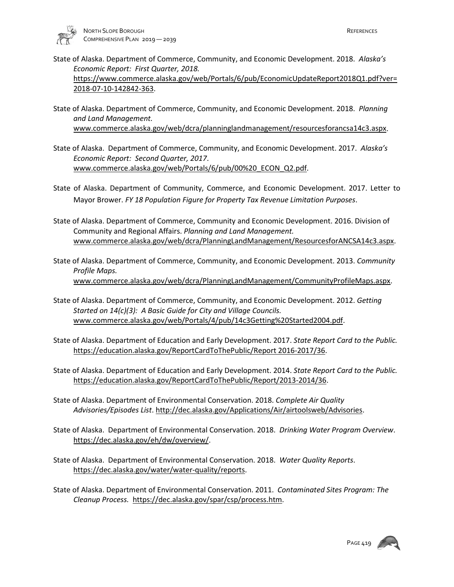

- State of Alaska. Department of Commerce, Community, and Economic Development. 2018. *Alaska's Economic Report: First Quarter, 2018.* [https://www.commerce.alaska.gov/web/Portals/6/pub/EconomicUpdateReport2018Q1.pdf?ver=](https://www.commerce.alaska.gov/web/Portals/6/pub/EconomicUpdateReport2018Q1.pdf?ver=2018-07-10-142842-363) [2018-07-10-142842-363.](https://www.commerce.alaska.gov/web/Portals/6/pub/EconomicUpdateReport2018Q1.pdf?ver=2018-07-10-142842-363)
- State of Alaska. Department of Commerce, Community, and Economic Development. 2018. *Planning and Land Management.*  [www.commerce.alaska.gov/web/dcra/planninglandmanagement/resourcesforancsa14c3.aspx.](http://www.commerce.alaska.gov/web/dcra/planninglandmanagement/resourcesforancsa14c3.aspx)
- State of Alaska. Department of Commerce, Community, and Economic Development. 2017. *Alaska's Economic Report: Second Quarter, 2017*. [www.commerce.alaska.gov/web/Portals/6/pub/00%20\\_ECON\\_Q2.pdf.](http://www.commerce.alaska.gov/web/Portals/6/pub/00%20_ECON_Q2.pdf)
- State of Alaska. Department of Community, Commerce, and Economic Development. 2017. Letter to Mayor Brower. *FY 18 Population Figure for Property Tax Revenue Limitation Purposes*.
- State of Alaska. Department of Commerce, Community and Economic Development. 2016. Division of Community and Regional Affairs. *Planning and Land Management.* [www.commerce.alaska.gov/web/dcra/PlanningLandManagement/ResourcesforANCSA14c3.aspx.](http://www.commerce.alaska.gov/web/dcra/PlanningLandManagement/ResourcesforANCSA14c3.aspx)
- State of Alaska. Department of Commerce, Community, and Economic Development. 2013. *Community Profile Maps.*  [www.commerce.alaska.gov/web/dcra/PlanningLandManagement/CommunityProfileMaps.aspx.](http://www.commerce.alaska.gov/web/dcra/PlanningLandManagement/CommunityProfileMaps.aspx)
- State of Alaska. Department of Commerce, Community, and Economic Development. 2012. *Getting Started on 14(c)(3): A Basic Guide for City and Village Councils.*  www.commerce.alaska.gov/web/Portals/4/pub/14c3Getting%20Started2004.pdf.
- State of Alaska. Department of Education and Early Development. 2017. *State Report Card to the Public.*  [https://education.alaska.gov/ReportCardToThePublic/Report 2016-2017/36.](https://education.alaska.gov/ReportCardToThePublic/Report%202016-2017/36)
- State of Alaska. Department of Education and Early Development. 2014. *State Report Card to the Public.*  [https://education.alaska.gov/ReportCardToThePublic/Report/2013-2014/36.](https://education.alaska.gov/ReportCardToThePublic/Report/2013-2014/36)
- State of Alaska. Department of Environmental Conservation. 2018. *Complete Air Quality Advisories/Episodes List*. [http://dec.alaska.gov/Applications/Air/airtoolsweb/Advisories.](http://dec.alaska.gov/Applications/Air/airtoolsweb/Advisories)
- State of Alaska. Department of Environmental Conservation. 2018. *Drinking Water Program Overview*. https://dec.alaska.gov/eh/dw/overview/.
- State of Alaska. Department of Environmental Conservation. 2018. *Water Quality Reports*. [https://dec.alaska.gov/water/water-quality/reports.](https://dec.alaska.gov/water/water-quality/reports)
- State of Alaska. Department of Environmental Conservation. 2011. *Contaminated Sites Program: The Cleanup Process.* https://dec.alaska.gov/spar/csp/process.htm.

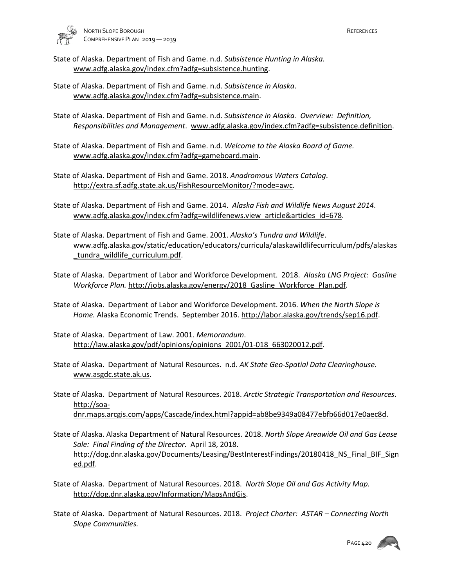

- State of Alaska. Department of Fish and Game. n.d. *Subsistence Hunting in Alaska.*  [www.adfg.alaska.gov/index.cfm?adfg=subsistence.hunting.](http://www.adfg.alaska.gov/index.cfm?adfg=subsistence.hunting)
- State of Alaska. Department of Fish and Game. n.d. *Subsistence in Alaska*. [www.adfg.alaska.gov/index.cfm?adfg=subsistence.main.](http://www.adfg.alaska.gov/index.cfm?adfg=subsistence.main)
- State of Alaska. Department of Fish and Game. n.d. *Subsistence in Alaska. Overview: Definition, Responsibilities and Management*. [www.adfg.alaska.gov/index.cfm?adfg=subsistence.definition.](http://www.adfg.alaska.gov/index.cfm?adfg=subsistence.definition)
- State of Alaska. Department of Fish and Game. n.d. *Welcome to the Alaska Board of Game.*  [www.adfg.alaska.gov/index.cfm?adfg=gameboard.main.](http://www.adfg.alaska.gov/index.cfm?adfg=gameboard.main)
- State of Alaska. Department of Fish and Game. 2018. *Anadromous Waters Catalog*. [http://extra.sf.adfg.state.ak.us/FishResourceMonitor/?mode=awc.](http://extra.sf.adfg.state.ak.us/FishResourceMonitor/?mode=awc)
- State of Alaska. Department of Fish and Game. 2014. *Alaska Fish and Wildlife News August 2014*. [www.adfg.alaska.gov/index.cfm?adfg=wildlifenews.view\\_article&articles\\_id=678.](http://www.adfg.alaska.gov/index.cfm?adfg=wildlifenews.view_article&articles_id=678)
- State of Alaska. Department of Fish and Game. 2001. *Alaska's Tundra and Wildlife*. [www.adfg.alaska.gov/static/education/educators/curricula/alaskawildlifecurriculum/pdfs/alaskas](http://www.adfg.alaska.gov/static/education/educators/curricula/alaskawildlifecurriculum/pdfs/alaskas_tundra_wildlife_curriculum.pdf) [\\_tundra\\_wildlife\\_curriculum.pdf.](http://www.adfg.alaska.gov/static/education/educators/curricula/alaskawildlifecurriculum/pdfs/alaskas_tundra_wildlife_curriculum.pdf)
- State of Alaska. Department of Labor and Workforce Development. 2018. *Alaska LNG Project: Gasline Workforce Plan.* [http://jobs.alaska.gov/energy/2018\\_Gasline\\_Workforce\\_Plan.pdf.](http://jobs.alaska.gov/energy/2018_Gasline_Workforce_Plan.pdf)
- State of Alaska. Department of Labor and Workforce Development. 2016. *When the North Slope is Home.* Alaska Economic Trends. September 2016[. http://labor.alaska.gov/trends/sep16.pdf.](http://labor.alaska.gov/trends/sep16.pdf)
- State of Alaska. Department of Law. 2001. *Memorandum*. http://law.alaska.gov/pdf/opinions/opinions\_2001/01-018\_663020012.pdf.
- State of Alaska. Department of Natural Resources. n.d. *AK State Geo-Spatial Data Clearinghouse*. [www.asgdc.state.ak.us.](http://www.asgdc.state.ak.us/)
- State of Alaska. Department of Natural Resources. 2018. *Arctic Strategic Transportation and Resources*. [http://soa](http://soa-dnr.maps.arcgis.com/apps/Cascade/index.html?appid=ab8be9349a08477ebfb66d017e0aec8d)[dnr.maps.arcgis.com/apps/Cascade/index.html?appid=ab8be9349a08477ebfb66d017e0aec8d.](http://soa-dnr.maps.arcgis.com/apps/Cascade/index.html?appid=ab8be9349a08477ebfb66d017e0aec8d)
- State of Alaska. Alaska Department of Natural Resources. 2018. *North Slope Areawide Oil and Gas Lease Sale: Final Finding of the Director.* April 18, 2018. [http://dog.dnr.alaska.gov/Documents/Leasing/BestInterestFindings/20180418\\_NS\\_Final\\_BIF\\_Sign](http://dog.dnr.alaska.gov/Documents/Leasing/BestInterestFindings/20180418_NS_Final_BIF_Signed.pdf)\_ [ed.pdf.](http://dog.dnr.alaska.gov/Documents/Leasing/BestInterestFindings/20180418_NS_Final_BIF_Signed.pdf)
- State of Alaska. Department of Natural Resources. 2018. *North Slope Oil and Gas Activity Map.*  [http://dog.dnr.alaska.gov/Information/MapsAndGis.](http://dog.dnr.alaska.gov/Information/MapsAndGis)
- State of Alaska. Department of Natural Resources. 2018. *Project Charter: ASTAR Connecting North Slope Communities.*

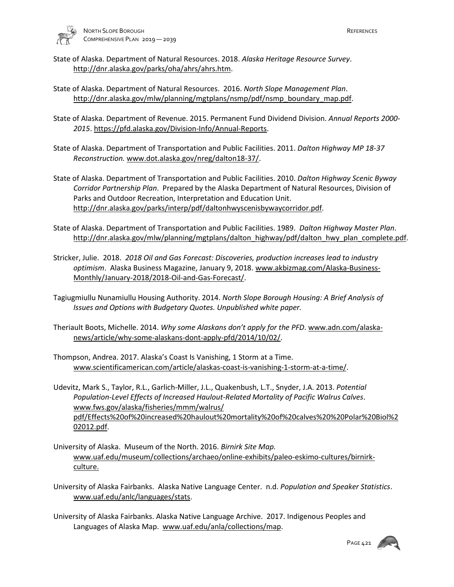

- State of Alaska. Department of Natural Resources. 2018. *Alaska Heritage Resource Survey*. http://dnr.alaska.gov/parks/oha/ahrs/ahrs.htm.
- State of Alaska. Department of Natural Resources. 2016. *North Slope Management Plan*. [http://dnr.alaska.gov/mlw/planning/mgtplans/nsmp/pdf/nsmp\\_boundary\\_map.pdf.](http://dnr.alaska.gov/mlw/planning/mgtplans/nsmp/pdf/nsmp_boundary_map.pdf)
- State of Alaska. Department of Revenue. 2015. Permanent Fund Dividend Division. *Annual Reports 2000- 2015*. https://pfd.alaska.gov/Division-Info/Annual-Reports.
- State of Alaska. Department of Transportation and Public Facilities. 2011. *Dalton Highway MP 18-37 Reconstruction.* [www.dot.alaska.gov/nreg/dalton18-37/.](http://www.dot.alaska.gov/nreg/dalton18-37/)
- State of Alaska. Department of Transportation and Public Facilities. 2010. *Dalton Highway Scenic Byway Corridor Partnership Plan*. Prepared by the Alaska Department of Natural Resources, Division of Parks and Outdoor Recreation, Interpretation and Education Unit. http://dnr.alaska.gov/parks/interp/pdf/daltonhwyscenisbywaycorridor.pdf.
- State of Alaska. Department of Transportation and Public Facilities. 1989. *Dalton Highway Master Plan*. [http://dnr.alaska.gov/mlw/planning/mgtplans/dalton\\_highway/pdf/dalton\\_hwy\\_plan\\_complete.pdf.](http://dnr.alaska.gov/mlw/planning/mgtplans/dalton_highway/pdf/dalton_hwy_plan_complete.pdf)
- Stricker, Julie. 2018. *2018 Oil and Gas Forecast: Discoveries, production increases lead to industry optimism*. Alaska Business Magazine, January 9, 2018. [www.akbizmag.com/Alaska-Business-](http://www.akbizmag.com/Alaska-Business-Monthly/January-2018/2018-Oil-and-Gas-Forecast/)[Monthly/January-2018/2018-Oil-and-Gas-Forecast/.](http://www.akbizmag.com/Alaska-Business-Monthly/January-2018/2018-Oil-and-Gas-Forecast/)
- Tagiugmiullu Nunamiullu Housing Authority. 2014. *North Slope Borough Housing: A Brief Analysis of Issues and Options with Budgetary Quotes. Unpublished white paper.*
- Theriault Boots, Michelle. 2014. *Why some Alaskans don't apply for the PFD*[. www.adn.com/alaska](http://www.adn.com/alaska-news/article/why-some-alaskans-dont-apply-pfd/2014/10/02/)[news/article/why-some-alaskans-dont-apply-pfd/2014/10/02/.](http://www.adn.com/alaska-news/article/why-some-alaskans-dont-apply-pfd/2014/10/02/)
- Thompson, Andrea. 2017. Alaska's Coast Is Vanishing, 1 Storm at a Time. [www.scientificamerican.com/article/alaskas-coast-is-vanishing-1-storm-at-a-time/.](http://www.scientificamerican.com/article/alaskas-coast-is-vanishing-1-storm-at-a-time/)

Udevitz, Mark S., Taylor, R.L., Garlich-Miller, J.L., Quakenbush, L.T., Snyder, J.A. 2013. *Potential Population-Level Effects of Increased Haulout-Related Mortality of Pacific Walrus Calves*. [www.fws.gov/alaska/fisheries/mmm/walrus/](http://www.fws.gov/alaska/fisheries/mmm/walrus/) pdf/Effects%20of%20increased%20haulout%20mortality%20of%20calves%20%20Polar%20Biol%2 02012.pdf.

- University of Alaska. Museum of the North. 2016. *Birnirk Site Map.*  www.uaf.edu/museum/collections/archaeo/online-exhibits/paleo-eskimo-cultures/birnirkculture.
- University of Alaska Fairbanks. Alaska Native Language Center. n.d. *Population and Speaker Statistics*. [www.uaf.edu/anlc/languages/stats.](http://www.uaf.edu/anlc/languages/stats)
- University of Alaska Fairbanks. Alaska Native Language Archive. 2017. Indigenous Peoples and Languages of Alaska Map. [www.uaf.edu/anla/collections/map.](http://www.uaf.edu/anla/collections/map)

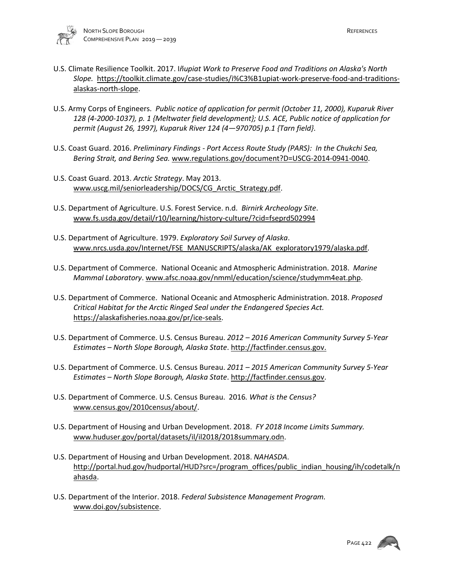- U.S. Climate Resilience Toolkit. 2017. I*ñupiat Work to Preserve Food and Traditions on Alaska's North Slope.* [https://toolkit.climate.gov/case-studies/i%C3%B1upiat-work-preserve-food-and-traditions](https://toolkit.climate.gov/case-studies/i%C3%B1upiat-work-preserve-food-and-traditions-alaskas-north-slope)[alaskas-north-slope.](https://toolkit.climate.gov/case-studies/i%C3%B1upiat-work-preserve-food-and-traditions-alaskas-north-slope)
- U.S. Army Corps of Engineers. *Public notice of application for permit (October 11, 2000), Kuparuk River 128 (4-2000-1037), p. 1 {Meltwater field development}; U.S. ACE, Public notice of application for permit (August 26, 1997), Kuparuk River 124 (4—970705) p.1 {Tarn field}*.
- U.S. Coast Guard. 2016. *Preliminary Findings Port Access Route Study (PARS): In the Chukchi Sea, Bering Strait, and Bering Sea.* www.regulations.gov/document?D=USCG-2014-0941-0040.
- U.S. Coast Guard. 2013. *Arctic Strategy*. May 2013. [www.uscg.mil/seniorleadership/DOCS/CG\\_Arctic\\_Strategy.pdf.](http://www.uscg.mil/seniorleadership/DOCS/CG_Arctic_Strategy.pdf)
- U.S. Department of Agriculture. U.S. Forest Service. n.d. *Birnirk Archeology Site*. [www.fs.usda.gov/detail/r10/learning/history-culture/?cid=fseprd502994](http://www.fs.usda.gov/detail/r10/learning/history-culture/?cid=fseprd502994)
- U.S. Department of Agriculture. 1979. *Exploratory Soil Survey of Alaska*. [www.nrcs.usda.gov/Internet/FSE\\_MANUSCRIPTS/alaska/AK\\_exploratory1979/alaska.pdf.](http://www.nrcs.usda.gov/Internet/FSE_MANUSCRIPTS/alaska/AK_exploratory1979/alaska.pdf)
- U.S. Department of Commerce. National Oceanic and Atmospheric Administration. 2018. *Marine Mammal Laboratory*[. www.afsc.noaa.gov/nmml/education/science/studymm4eat.php.](http://www.afsc.noaa.gov/nmml/education/science/studymm4eat.php)
- U.S. Department of Commerce. National Oceanic and Atmospheric Administration. 2018. *Proposed Critical Habitat for the Arctic Ringed Seal under the Endangered Species Act.* [https://alaskafisheries.noaa.gov/pr/ice-seals.](https://alaskafisheries.noaa.gov/pr/ice-seals)
- U.S. Department of Commerce. U.S. Census Bureau. *2012 2016 American Community Survey 5-Year Estimates – North Slope Borough, Alaska State*[. http://factfinder.census.gov.](http://factfinder.census.gov/)
- U.S. Department of Commerce. U.S. Census Bureau. *2011 2015 American Community Survey 5-Year Estimates – North Slope Borough, Alaska State*[. http://factfinder.census.gov.](http://factfinder.census.gov/)
- U.S. Department of Commerce. U.S. Census Bureau. 2016*. What is the Census?* [www.census.gov/2010census/about/.](http://www.census.gov/2010census/about/)
- U.S. Department of Housing and Urban Development. 2018. *FY 2018 Income Limits Summary.*  [www.huduser.gov/portal/datasets/il/il2018/2018summary.odn.](http://www.huduser.gov/portal/datasets/il/il2018/2018summary.odn)
- U.S. Department of Housing and Urban Development. 2018. *NAHASDA*. http://portal.hud.gov/hudportal/HUD?src=/program\_offices/public\_indian\_housing/ih/codetalk/n ahasda.
- U.S. Department of the Interior. 2018. *Federal Subsistence Management Program.* [www.doi.gov/subsistence.](http://www.doi.gov/subsistence)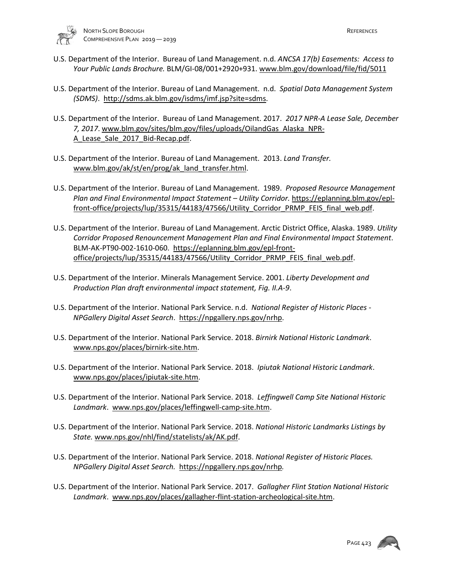

- U.S. Department of the Interior. Bureau of Land Management. n.d. *ANCSA 17(b) Easements: Access to Your Public Lands Brochure.* BLM/GI-08/001+2920+931[. www.blm.gov/download/file/fid/5011](http://www.blm.gov/download/file/fid/5011)
- U.S. Department of the Interior. Bureau of Land Management. n.d. *Spatial Data Management System (SDMS)*. http://sdms.ak.blm.gov/isdms/imf.jsp?site=sdms.
- U.S. Department of the Interior. Bureau of Land Management. 2017. *2017 NPR-A Lease Sale, December 7, 2017*[. www.blm.gov/sites/blm.gov/files/uploads/OilandGas\\_Alaska\\_NPR-](http://www.blm.gov/sites/blm.gov/files/uploads/OilandGas_Alaska_NPR-A_Lease_Sale_2017_Bid-Recap.pdf)A Lease Sale 2017 Bid-Recap.pdf.
- U.S. Department of the Interior. Bureau of Land Management. 2013. *Land Transfer.* [www.blm.gov/ak/st/en/prog/ak\\_land\\_transfer.html.](http://www.blm.gov/ak/st/en/prog/ak_land_transfer.html)
- U.S. Department of the Interior. Bureau of Land Management. 1989. *Proposed Resource Management Plan and Final Environmental Impact Statement – Utility Corridor.* [https://eplanning.blm.gov/epl](https://eplanning.blm.gov/epl-front-office/projects/lup/35315/44183/47566/Utility_Corridor_PRMP_FEIS_final_web.pdf)[front-office/projects/lup/35315/44183/47566/Utility\\_Corridor\\_PRMP\\_FEIS\\_final\\_web.pdf.](https://eplanning.blm.gov/epl-front-office/projects/lup/35315/44183/47566/Utility_Corridor_PRMP_FEIS_final_web.pdf)
- U.S. Department of the Interior. Bureau of Land Management. Arctic District Office, Alaska. 1989. *Utility Corridor Proposed Renouncement Management Plan and Final Environmental Impact Statement*. BLM-AK-PT90-002-1610-060. [https://eplanning.blm.gov/epl-front](https://eplanning.blm.gov/epl-front-office/projects/lup/35315/44183/47566/Utility_Corridor_PRMP_FEIS_final_web.pdf)[office/projects/lup/35315/44183/47566/Utility\\_Corridor\\_PRMP\\_FEIS\\_final\\_web.pdf.](https://eplanning.blm.gov/epl-front-office/projects/lup/35315/44183/47566/Utility_Corridor_PRMP_FEIS_final_web.pdf)
- U.S. Department of the Interior. Minerals Management Service. 2001. *Liberty Development and Production Plan draft environmental impact statement, Fig. II.A-9*.
- U.S. Department of the Interior. National Park Service. n.d. *National Register of Historic Places NPGallery Digital Asset Search*. [https://npgallery.nps.gov/nrhp.](https://npgallery.nps.gov/nrhp)
- U.S. Department of the Interior. National Park Service. 2018. *Birnirk National Historic Landmark*. [www.nps.gov/places/birnirk-site.htm.](http://www.nps.gov/places/birnirk-site.htm)
- U.S. Department of the Interior. National Park Service. 2018. *Ipiutak National Historic Landmark*. [www.nps.gov/places/ipiutak-site.htm.](http://www.nps.gov/places/ipiutak-site.htm)
- U.S. Department of the Interior. National Park Service. 2018. *Leffingwell Camp Site National Historic Landmark*. [www.nps.gov/places/leffingwell-camp-site.htm.](http://www.nps.gov/places/leffingwell-camp-site.htm)
- U.S. Department of the Interior. National Park Service. 2018. *National Historic Landmarks Listings by State.* [www.nps.gov/nhl/find/statelists/ak/AK.pdf.](http://www.nps.gov/nhl/find/statelists/ak/AK.pdf)
- U.S. Department of the Interior. National Park Service. 2018. *National Register of Historic Places. NPGallery Digital Asset Search.* <https://npgallery.nps.gov/nrhp>*.*
- U.S. Department of the Interior. National Park Service. 2017. *Gallagher Flint Station National Historic Landmark*. [www.nps.gov/places/gallagher-flint-station-archeological-site.htm.](http://www.nps.gov/places/gallagher-flint-station-archeological-site.htm)

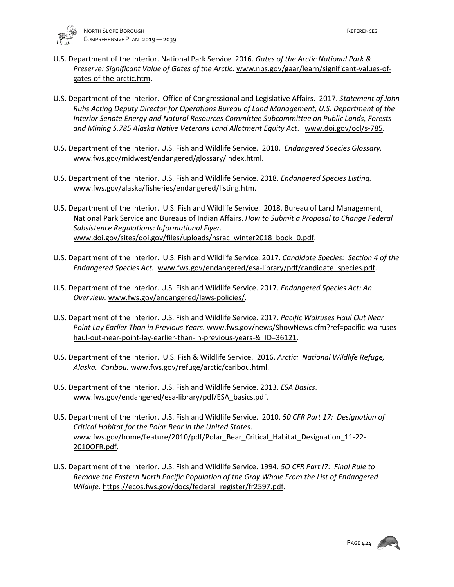

- U.S. Department of the Interior. National Park Service. 2016. *Gates of the Arctic National Park & Preserve: Significant Value of Gates of the Arctic.* [www.nps.gov/gaar/learn/significant-values-of](http://www.nps.gov/gaar/learn/significant-values-of-gates-of-the-arctic.htm)[gates-of-the-arctic.htm.](http://www.nps.gov/gaar/learn/significant-values-of-gates-of-the-arctic.htm)
- U.S. Department of the Interior. Office of Congressional and Legislative Affairs. 2017. *Statement of John Ruhs Acting Deputy Director for Operations Bureau of Land Management, U.S. Department of the Interior Senate Energy and Natural Resources Committee Subcommittee on Public Lands, Forests and Mining S.785 Alaska Native Veterans Land Allotment Equity Act*. www.doi.gov/ocl/s-785.
- U.S. Department of the Interior. U.S. Fish and Wildlife Service. 2018. *Endangered Species Glossary.*  [www.fws.gov/midwest/endangered/glossary/index.html.](http://www.fws.gov/midwest/endangered/glossary/index.html)
- U.S. Department of the Interior. U.S. Fish and Wildlife Service. 2018. *Endangered Species Listing.*  [www.fws.gov/alaska/fisheries/endangered/listing.htm.](http://www.fws.gov/alaska/fisheries/endangered/listing.htm)
- U.S. Department of the Interior. U.S. Fish and Wildlife Service. 2018. Bureau of Land Management, National Park Service and Bureaus of Indian Affairs. *How to Submit a Proposal to Change Federal Subsistence Regulations: Informational Flyer.*  [www.doi.gov/sites/doi.gov/files/uploads/nsrac\\_winter2018\\_book\\_0.pdf.](http://www.doi.gov/sites/doi.gov/files/uploads/nsrac_winter2018_book_0.pdf)
- U.S. Department of the Interior. U.S. Fish and Wildlife Service. 2017. *Candidate Species: Section 4 of the Endangered Species Act.* [www.fws.gov/endangered/esa-library/pdf/candidate\\_species.pdf.](http://www.fws.gov/endangered/esa-library/pdf/candidate_species.pdf)
- U.S. Department of the Interior. U.S. Fish and Wildlife Service. 2017. *Endangered Species Act: An Overview.* [www.fws.gov/endangered/laws-policies/.](http://www.fws.gov/endangered/laws-policies/)
- U.S. Department of the Interior. U.S. Fish and Wildlife Service. 2017. *Pacific Walruses Haul Out Near Point Lay Earlier Than in Previous Years.* [www.fws.gov/news/ShowNews.cfm?ref=pacific-walruses](http://www.fws.gov/news/ShowNews.cfm?ref=pacific-walruses-haul-out-near-point-lay-earlier-than-in-previous-years-&_ID=36121)haul-out-near-point-lay-earlier-than-in-previous-years-& ID=36121.
- U.S. Department of the Interior. U.S. Fish & Wildlife Service. 2016. *Arctic: National Wildlife Refuge, Alaska. Caribou.* [www.fws.gov/refuge/arctic/caribou.html.](http://www.fws.gov/refuge/arctic/caribou.html)
- U.S. Department of the Interior. U.S. Fish and Wildlife Service. 2013. *ESA Basics*. [www.fws.gov/endangered/esa-library/pdf/ESA\\_basics.pdf.](http://www.fws.gov/endangered/esa-library/pdf/ESA_basics.pdf)
- U.S. Department of the Interior. U.S. Fish and Wildlife Service. 2010. *50 CFR Part 17: Designation of Critical Habitat for the Polar Bear in the United States*. [www.fws.gov/home/feature/2010/pdf/Polar\\_Bear\\_Critical\\_Habitat\\_Designation\\_11-22-](http://www.fws.gov/home/feature/2010/pdf/Polar_Bear_Critical_Habitat_Designation_11-22-2010OFR.pdf) [2010OFR.pdf.](http://www.fws.gov/home/feature/2010/pdf/Polar_Bear_Critical_Habitat_Designation_11-22-2010OFR.pdf)
- U.S. Department of the Interior. U.S. Fish and Wildlife Service. 1994. *5O CFR Part I7: Final Rule to Remove the Eastern North Pacific Population of the Gray Whale From the List of Endangered Wildlife.* [https://ecos.fws.gov/docs/federal\\_register/fr2597.pdf.](https://ecos.fws.gov/docs/federal_register/fr2597.pdf)

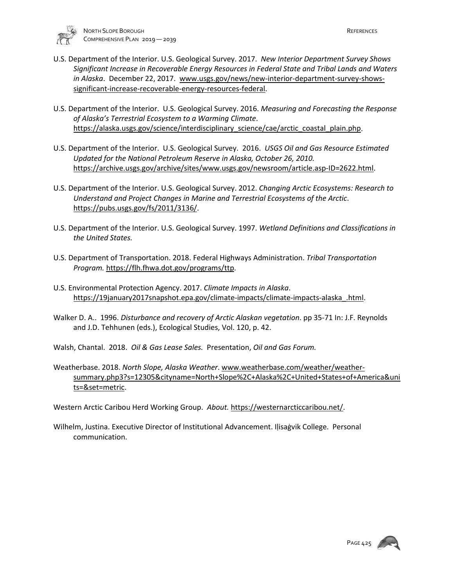

- U.S. Department of the Interior. U.S. Geological Survey. 2017. *New Interior Department Survey Shows Significant Increase in Recoverable Energy Resources in Federal State and Tribal Lands and Waters in Alaska*. December 22, 2017. [www.usgs.gov/news/new-interior-department-survey-shows](http://www.usgs.gov/news/new-interior-department-survey-shows-significant-increase-recoverable-energy-resources-federal)[significant-increase-recoverable-energy-resources-federal.](http://www.usgs.gov/news/new-interior-department-survey-shows-significant-increase-recoverable-energy-resources-federal)
- U.S. Department of the Interior. U.S. Geological Survey. 2016. *Measuring and Forecasting the Response of Alaska's Terrestrial Ecosystem to a Warming Climate*. [https://alaska.usgs.gov/science/interdisciplinary\\_science/cae/arctic\\_coastal\\_plain.php.](https://alaska.usgs.gov/science/interdisciplinary_science/cae/arctic_coastal_plain.php)
- U.S. Department of the Interior. U.S. Geological Survey. 2016. *USGS Oil and Gas Resource Estimated Updated for the National Petroleum Reserve in Alaska, October 26, 2010.* [https://archive.usgs.gov/archive/sites/www.usgs.gov/newsroom/article.asp-ID=2622.html.](https://archive.usgs.gov/archive/sites/www.usgs.gov/newsroom/article.asp-ID=2622.html)
- U.S. Department of the Interior. U.S. Geological Survey. 2012. *Changing Arctic Ecosystems: Research to Understand and Project Changes in Marine and Terrestrial Ecosystems of the Arctic*. [https://pubs.usgs.gov/fs/2011/3136/.](https://pubs.usgs.gov/fs/2011/3136/)
- U.S. Department of the Interior. U.S. Geological Survey. 1997. *Wetland Definitions and Classifications in the United States.*
- U.S. Department of Transportation. 2018. Federal Highways Administration. *Tribal Transportation Program.* [https://flh.fhwa.dot.gov/programs/ttp.](https://flh.fhwa.dot.gov/programs/ttp)
- U.S. Environmental Protection Agency. 2017. *Climate Impacts in Alaska*. [https://19january2017snapshot.epa.gov/climate-impacts/climate-impacts-alaska\\_.html.](https://19january2017snapshot.epa.gov/climate-impacts/climate-impacts-alaska_.html)
- Walker D. A.. 1996. *Disturbance and recovery of Arctic Alaskan vegetation*. pp 35-71 In: J.F. Reynolds and J.D. Tehhunen (eds.), Ecological Studies, Vol. 120, p. 42.
- Walsh, Chantal. 2018. *Oil & Gas Lease Sales.* Presentation, *Oil and Gas Forum.*
- Weatherbase. 2018. *North Slope, Alaska Weather*. [www.weatherbase.com/weather/weather](http://www.weatherbase.com/weather/weather-summary.php3?s=12305&cityname=North+Slope%2C+Alaska%2C+United+States+of+America&units=&set=metric)[summary.php3?s=12305&cityname=North+Slope%2C+Alaska%2C+United+States+of+America&uni](http://www.weatherbase.com/weather/weather-summary.php3?s=12305&cityname=North+Slope%2C+Alaska%2C+United+States+of+America&units=&set=metric) [ts=&set=metric.](http://www.weatherbase.com/weather/weather-summary.php3?s=12305&cityname=North+Slope%2C+Alaska%2C+United+States+of+America&units=&set=metric)
- Western Arctic Caribou Herd Working Group. *About.* [https://westernarcticcaribou.net/.](https://westernarcticcaribou.net/)
- Wilhelm, Justina. Executive Director of Institutional Advancement. Iḷisaġvik College. Personal communication.